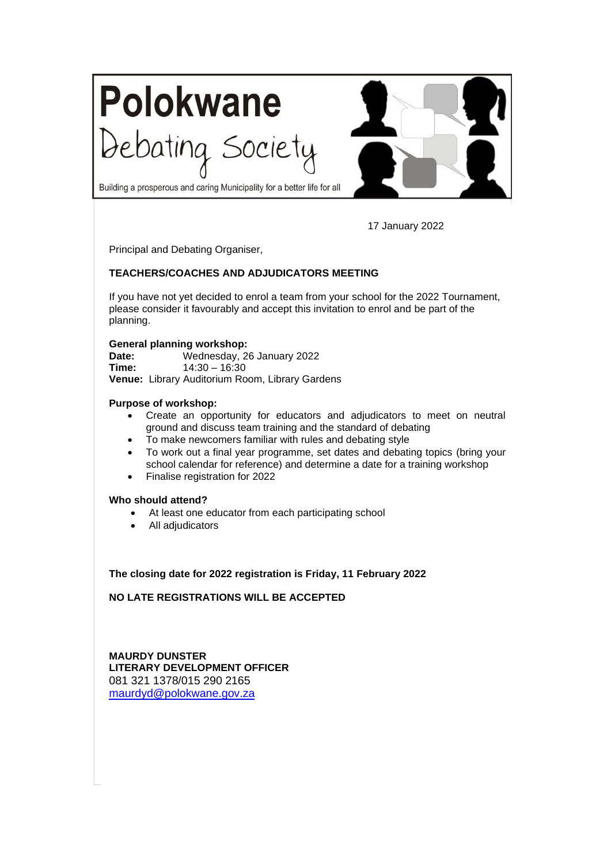



Building a prosperous and caring Municipality for a better life for all

17 January 2022

Principal and Debating Organiser,

# **TEACHERS/COACHES AND ADJUDICATORS MEETING**

If you have not yet decided to enrol a team from your school for the 2022 Tournament, please consider it favourably and accept this invitation to enrol and be part of the planning.

#### **General planning workshop:**

**Date:** Wednesday, 26 January 2022 **Time:** 14:30 – 16:30 **Venue:** Library Auditorium Room, Library Gardens

## **Purpose of workshop:**

- Create an opportunity for educators and adjudicators to meet on neutral ground and discuss team training and the standard of debating
- To make newcomers familiar with rules and debating style
- To work out a final year programme, set dates and debating topics (bring your school calendar for reference) and determine a date for a training workshop
- Finalise registration for 2022

## **Who should attend?**

- At least one educator from each participating school
- All adjudicators

**The closing date for 2022 registration is Friday, 11 February 2022**

**NO LATE REGISTRATIONS WILL BE ACCEPTED**

**MAURDY DUNSTER LITERARY DEVELOPMENT OFFICER** 081 321 1378/015 290 2165 [maurdyd@polokwane.gov.za](mailto:maurdyd@polokwane.gov.za)